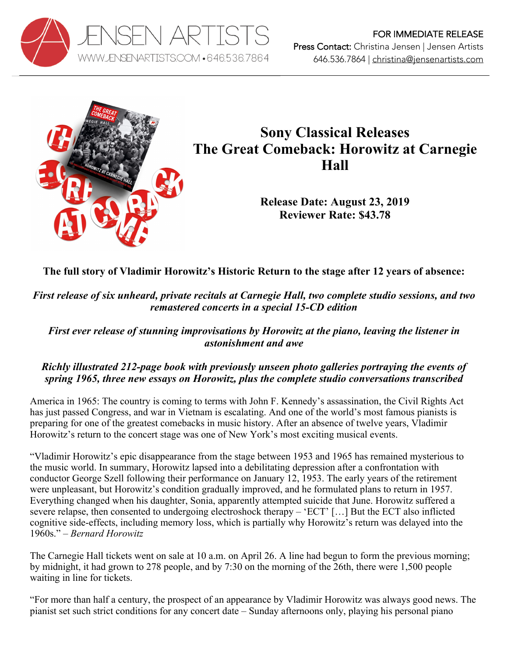



## **Sony Classical Releases The Great Comeback: Horowitz at Carnegie Hall**

**Release Date: August 23, 2019 Reviewer Rate: \$43.78**

**The full story of Vladimir Horowitz's Historic Return to the stage after 12 years of absence:**

*First release of six unheard, private recitals at Carnegie Hall, two complete studio sessions, and two remastered concerts in a special 15-CD edition*

*First ever release of stunning improvisations by Horowitz at the piano, leaving the listener in astonishment and awe*

*Richly illustrated 212-page book with previously unseen photo galleries portraying the events of spring 1965, three new essays on Horowitz, plus the complete studio conversations transcribed*

America in 1965: The country is coming to terms with John F. Kennedy's assassination, the Civil Rights Act has just passed Congress, and war in Vietnam is escalating. And one of the world's most famous pianists is preparing for one of the greatest comebacks in music history. After an absence of twelve years, Vladimir Horowitz's return to the concert stage was one of New York's most exciting musical events.

"Vladimir Horowitz's epic disappearance from the stage between 1953 and 1965 has remained mysterious to the music world. In summary, Horowitz lapsed into a debilitating depression after a confrontation with conductor George Szell following their performance on January 12, 1953. The early years of the retirement were unpleasant, but Horowitz's condition gradually improved, and he formulated plans to return in 1957. Everything changed when his daughter, Sonia, apparently attempted suicide that June. Horowitz suffered a severe relapse, then consented to undergoing electroshock therapy – 'ECT' […] But the ECT also inflicted cognitive side-effects, including memory loss, which is partially why Horowitz's return was delayed into the 1960s." *– Bernard Horowitz*

The Carnegie Hall tickets went on sale at 10 a.m. on April 26. A line had begun to form the previous morning; by midnight, it had grown to 278 people, and by 7:30 on the morning of the 26th, there were 1,500 people waiting in line for tickets.

"For more than half a century, the prospect of an appearance by Vladimir Horowitz was always good news. The pianist set such strict conditions for any concert date – Sunday afternoons only, playing his personal piano